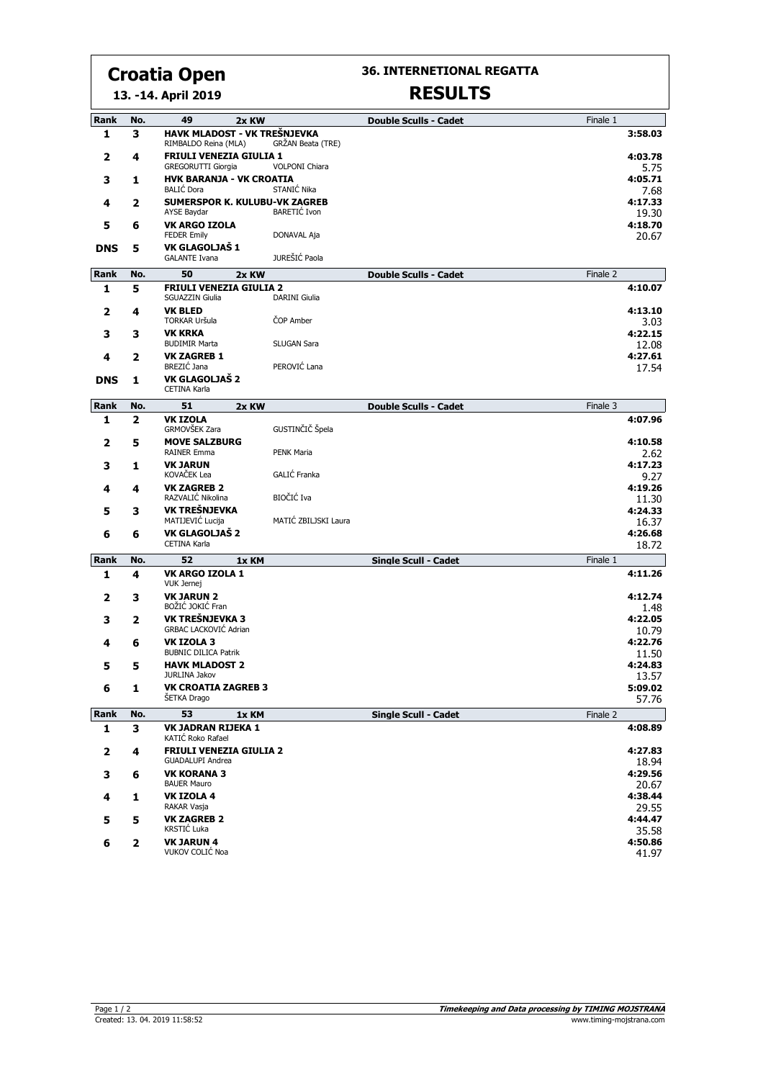# **Croatia Open**

**36. INTERNETIONAL REGATTA**

**13. -14. April 2019**

## **RESULTS**

| Rank                    | No.            | 49<br>2x KW                                               |                       | <b>Double Sculls - Cadet</b> | Finale 1 |                  |
|-------------------------|----------------|-----------------------------------------------------------|-----------------------|------------------------------|----------|------------------|
| 1                       | 3              | HAVK MLADOST - VK TREŠNJEVKA<br>RIMBALDO Reina (MLA)      | GRŽAN Beata (TRE)     |                              |          | 3:58.03          |
| $\overline{\mathbf{2}}$ | 4              | <b>FRIULI VENEZIA GIULIA 1</b><br>GREGORUTTI Giorgia      | <b>VOLPONI Chiara</b> |                              |          | 4:03.78<br>5.75  |
| 3                       | 1              | <b>HVK BARANJA - VK CROATIA</b><br><b>BALIC</b> Dora      | STANIĆ Nika           |                              |          | 4:05.71          |
| 4                       | 2              | <b>SUMERSPOR K. KULUBU-VK ZAGREB</b>                      |                       |                              |          | 7.68<br>4:17.33  |
| 5                       | 6              | <b>AYSE Baydar</b><br><b>VK ARGO IZOLA</b>                | <b>BARETIC Ivon</b>   |                              |          | 19.30<br>4:18.70 |
|                         |                | <b>FEDER Emily</b>                                        | DONAVAL Aja           |                              |          | 20.67            |
| <b>DNS</b>              | 5              | VK GLAGOLJAŠ 1<br><b>GALANTE Ivana</b>                    | JUREŠIĆ Paola         |                              |          |                  |
| Rank                    | No.            | 50<br>2x KW                                               |                       | <b>Double Sculls - Cadet</b> | Finale 2 |                  |
| $\mathbf{1}$            | 5              | <b>FRIULI VENEZIA GIULIA 2</b><br><b>SGUAZZIN Giulia</b>  | <b>DARINI Giulia</b>  |                              |          | 4:10.07          |
| 2                       | 4              | <b>VK BLED</b><br><b>TORKAR Uršula</b>                    | ČOP Amber             |                              |          | 4:13.10<br>3.03  |
| 3                       | 3              | <b>VK KRKA</b><br><b>BUDIMIR Marta</b>                    | <b>SLUGAN Sara</b>    |                              |          | 4:22.15<br>12.08 |
| 4                       | 2              | <b>VK ZAGREB 1</b><br>BREZIĆ Jana                         | PEROVIĆ Lana          |                              |          | 4:27.61<br>17.54 |
| <b>DNS</b>              | 1              | VK GLAGOLJAŠ 2<br>CETINA Karla                            |                       |                              |          |                  |
| <b>Rank</b>             | No.            | 51<br>2x KW                                               |                       | <b>Double Sculls - Cadet</b> | Finale 3 |                  |
| 1                       | $\overline{2}$ | <b>VK IZOLA</b><br>GRMOVŠEK Zara                          | GUSTINČIČ Špela       |                              |          | 4:07.96          |
| 2                       | 5              | <b>MOVE SALZBURG</b><br>RAINER Emma                       | <b>PENK Maria</b>     |                              |          | 4:10.58<br>2.62  |
| 3                       | 1              | <b>VK JARUN</b><br>KOVAČEK Lea                            | GALIĆ Franka          |                              |          | 4:17.23          |
| 4                       | 4              | <b>VK ZAGREB 2</b>                                        |                       |                              |          | 9.27<br>4:19.26  |
| 5                       | 3              | RAZVALIĆ Nikolina<br><b>VK TREŠNJEVKA</b>                 | <b>BIOČIĆ</b> Iva     |                              |          | 11.30<br>4:24.33 |
|                         |                | MATIJEVIĆ Lucija                                          | MATIĆ ZBILJSKI Laura  |                              |          | 16.37            |
| 6                       | 6              | VK GLAGOLJAŠ 2<br>CETINA Karla                            |                       |                              |          | 4:26.68<br>18.72 |
| Rank                    | No.            | 52<br>1x KM                                               |                       | Single Scull - Cadet         | Finale 1 |                  |
| 1                       | 4              | VK ARGO IZOLA 1<br><b>VUK Jernej</b>                      |                       |                              |          | 4:11.26          |
| 2                       | з              | <b>VK JARUN 2</b><br>BOŽIĆ JOKIĆ Fran                     |                       |                              |          | 4:12.74<br>1.48  |
| 3                       | 2              | VK TREŠNJEVKA 3<br><b>GRBAC LACKOVIĆ Adrian</b>           |                       |                              |          | 4:22.05<br>10.79 |
| 4                       | 6              | <b>VK IZOLA 3</b><br><b>BUBNIC DILICA Patrik</b>          |                       |                              |          | 4:22.76<br>11.50 |
| 5                       | 5              | <b>HAVK MLADOST 2</b>                                     |                       |                              |          | 4:24.83          |
| 6                       | 1              | JURLINA Jakov<br><b>VK CROATIA ZAGREB 3</b>               |                       |                              |          | 13.57<br>5:09.02 |
|                         |                | ŠETKA Drago                                               |                       |                              |          | 57.76            |
| Rank                    | No.            | 53<br>1x KM                                               |                       | Single Scull - Cadet         | Finale 2 |                  |
| 1                       | 3              | VK JADRAN RIJEKA 1<br>KATIĆ Roko Rafael                   |                       |                              |          | 4:08.89          |
| $\overline{\mathbf{2}}$ | 4              | <b>FRIULI VENEZIA GIULIA 2</b><br><b>GUADALUPI Andrea</b> |                       |                              |          | 4:27.83<br>18.94 |
| 3                       | 6              | <b>VK KORANA 3</b><br><b>BAUER Mauro</b>                  |                       |                              |          | 4:29.56<br>20.67 |
| 4                       | 1              | <b>VK IZOLA 4</b>                                         |                       |                              |          | 4:38.44          |
| 5                       | 5              | RAKAR Vasja<br><b>VK ZAGREB 2</b>                         |                       |                              |          | 29.55<br>4:44.47 |
|                         |                | KRSTIĆ Luka                                               |                       |                              |          | 35.58            |
| 6                       | $\mathbf{2}$   | <b>VK JARUN 4</b><br>VUKOV COLIĆ Noa                      |                       |                              |          | 4:50.86<br>41.97 |